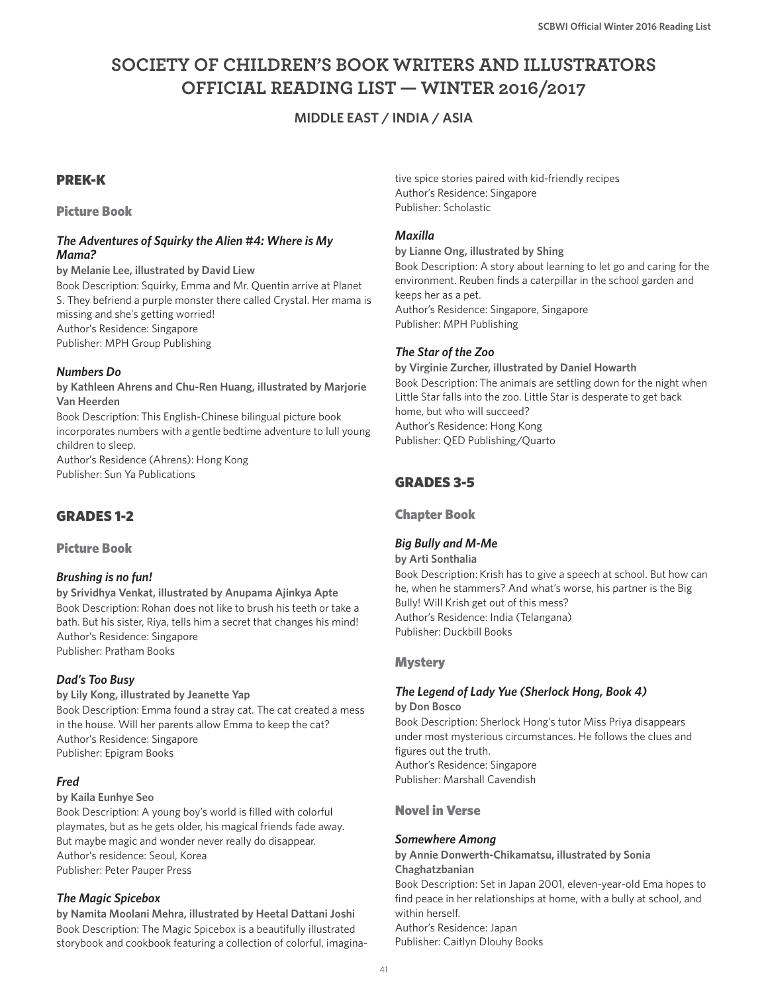# **SOCIETY OF CHILDREN'S BOOK WRITERS AND ILLUSTRATORS OFFICIAL READING LIST — WINTER 2016/2017**

# **MIDDLE EAST / INDIA / ASIA**

# PREK-K

# Picture Book

#### *The Adventures of Squirky the Alien #4: Where is My Mama?*

**by Melanie Lee, illustrated by David Liew** Book Description: Squirky, Emma and Mr. Quentin arrive at Planet

S. They befriend a purple monster there called Crystal. Her mama is missing and she's getting worried! Author's Residence: Singapore Publisher: MPH Group Publishing

# *Numbers Do*

**by Kathleen Ahrens and Chu-Ren Huang, illustrated by Marjorie Van Heerden** Book Description: This English-Chinese bilingual picture book incorporates numbers with a gentle bedtime adventure to lull young children to sleep. Author's Residence (Ahrens): Hong Kong

Publisher: Sun Ya Publications

# GRADES 1-2

# Picture Book

# *Brushing is no fun!*

**by Srividhya Venkat, illustrated by Anupama Ajinkya Apte** Book Description: Rohan does not like to brush his teeth or take a bath. But his sister, Riya, tells him a secret that changes his mind! Author's Residence: Singapore Publisher: Pratham Books

# *Dad's Too Busy*

**by Lily Kong, illustrated by Jeanette Yap** Book Description: Emma found a stray cat. The cat created a mess in the house. Will her parents allow Emma to keep the cat? Author's Residence: Singapore Publisher: Epigram Books

# *Fred*

#### **by Kaila Eunhye Seo**

Book Description: A young boy's world is filled with colorful playmates, but as he gets older, his magical friends fade away. But maybe magic and wonder never really do disappear. Author's residence: Seoul, Korea Publisher: Peter Pauper Press

# *The Magic Spicebox*

**by Namita Moolani Mehra, illustrated by Heetal Dattani Joshi** Book Description: The Magic Spicebox is a beautifully illustrated storybook and cookbook featuring a collection of colorful, imaginative spice stories paired with kid-friendly recipes Author's Residence: Singapore Publisher: Scholastic

# *Maxilla*

#### **by Lianne Ong, illustrated by Shing**

Book Description: A story about learning to let go and caring for the environment. Reuben finds a caterpillar in the school garden and keeps her as a pet. Author's Residence: Singapore, Singapore

Publisher: MPH Publishing

# *The Star of the Zoo*

**by Virginie Zurcher, illustrated by Daniel Howarth** Book Description: The animals are settling down for the night when Little Star falls into the zoo. Little Star is desperate to get back home, but who will succeed? Author's Residence: Hong Kong Publisher: QED Publishing/Quarto

# GRADES 3-5

Chapter Book

# *Big Bully and M-Me*

**by Arti Sonthalia** 

Book Description: Krish has to give a speech at school. But how can he, when he stammers? And what's worse, his partner is the Big Bully! Will Krish get out of this mess? Author's Residence: India (Telangana) Publisher: Duckbill Books

# **Mystery**

# *The Legend of Lady Yue (Sherlock Hong, Book 4)*

**by Don Bosco**

Book Description: Sherlock Hong's tutor Miss Priya disappears under most mysterious circumstances. He follows the clues and figures out the truth. Author's Residence: Singapore Publisher: Marshall Cavendish

# Novel in Verse

#### *Somewhere Among*

**by Annie Donwerth-Chikamatsu, illustrated by Sonia Chaghatzbanian**

Book Description: Set in Japan 2001, eleven-year-old Ema hopes to find peace in her relationships at home, with a bully at school, and within herself. Author's Residence: Japan Publisher: Caitlyn Dlouhy Books